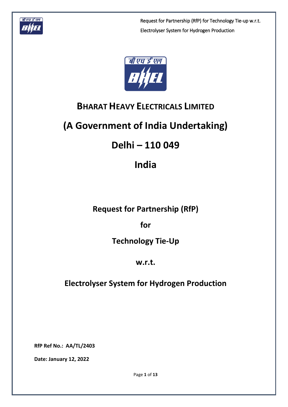



# **BHARAT HEAVY ELECTRICALS LIMITED**

# **(A Government of India Undertaking)**

# **Delhi – 110 049**

# **India**

# **Request for Partnership (RfP)**

**for**

# **Technology Tie-Up**

# **w.r.t.**

# **Electrolyser System for Hydrogen Production**

**RfP Ref No.: AA/TL/2403**

**Date: January 12, 2022**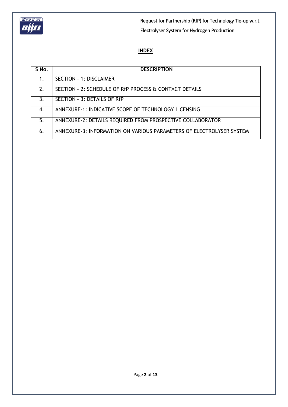

# **INDEX**

| S No.          | <b>DESCRIPTION</b>                                                   |
|----------------|----------------------------------------------------------------------|
|                | <b>SECTION - 1: DISCLAIMER</b>                                       |
| 2 <sub>1</sub> | SECTION - 2: SCHEDULE OF RfP PROCESS & CONTACT DETAILS               |
| 3.             | SECTION - 3: DETAILS OF RfP                                          |
| 4.             | ANNEXURE-1: INDICATIVE SCOPE OF TECHNOLOGY LICENSING                 |
| 5.             | ANNEXURE-2: DETAILS REQUIRED FROM PROSPECTIVE COLLABORATOR           |
| 6.             | ANNEXURE-3: INFORMATION ON VARIOUS PARAMETERS OF ELECTROLYSER SYSTEM |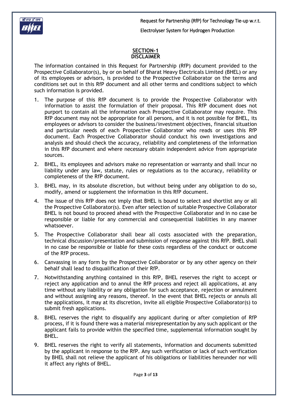



#### **SECTION-1 DISCLAIMER**

The information contained in this Request for Partnership (RfP) document provided to the Prospective Collaborator(s), by or on behalf of Bharat Heavy Electricals Limited (BHEL) or any of its employees or advisors, is provided to the Prospective Collaborator on the terms and conditions set out in this RfP document and all other terms and conditions subject to which such information is provided.

- 1. The purpose of this RfP document is to provide the Prospective Collaborator with information to assist the formulation of their proposal. This RfP document does not purport to contain all the information each Prospective Collaborator may require. This RfP document may not be appropriate for all persons, and it is not possible for BHEL, its employees or advisors to consider the business/investment objectives, financial situation and particular needs of each Prospective Collaborator who reads or uses this RfP document. Each Prospective Collaborator should conduct his own investigations and analysis and should check the accuracy, reliability and completeness of the information in this RfP document and where necessary obtain independent advice from appropriate sources.
- 2. BHEL, its employees and advisors make no representation or warranty and shall incur no liability under any law, statute, rules or regulations as to the accuracy, reliability or completeness of the RfP document.
- 3. BHEL may, in its absolute discretion, but without being under any obligation to do so, modify, amend or supplement the information in this RfP document.
- 4. The issue of this RfP does not imply that BHEL is bound to select and shortlist any or all the Prospective Collaborator(s). Even after selection of suitable Prospective Collaborator BHEL is not bound to proceed ahead with the Prospective Collaborator and in no case be responsible or liable for any commercial and consequential liabilities in any manner whatsoever.
- 5. The Prospective Collaborator shall bear all costs associated with the preparation, technical discussion/presentation and submission of response against this RfP. BHEL shall in no case be responsible or liable for these costs regardless of the conduct or outcome of the RfP process.
- 6. Canvassing in any form by the Prospective Collaborator or by any other agency on their behalf shall lead to disqualification of their RfP.
- 7. Notwithstanding anything contained in this RfP, BHEL reserves the right to accept or reject any application and to annul the RfP process and reject all applications, at any time without any liability or any obligation for such acceptance, rejection or annulment and without assigning any reasons, thereof. In the event that BHEL rejects or annuls all the applications, it may at its discretion, invite all eligible Prospective Collaborator(s) to submit fresh applications.
- 8. BHEL reserves the right to disqualify any applicant during or after completion of RfP process, if it is found there was a material misrepresentation by any such applicant or the applicant fails to provide within the specified time, supplemental information sought by BHEL.
- 9. BHEL reserves the right to verify all statements, information and documents submitted by the applicant in response to the RfP. Any such verification or lack of such verification by BHEL shall not relieve the applicant of his obligations or liabilities hereunder nor will it affect any rights of BHEL.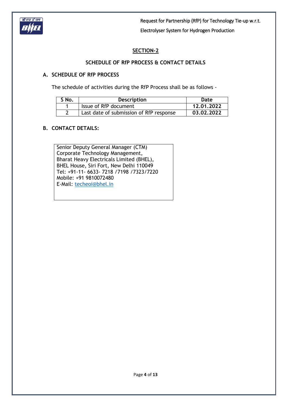

# **SECTION-2**

# **SCHEDULE OF RfP PROCESS & CONTACT DETAILS**

### **A. SCHEDULE OF RfP PROCESS**

The schedule of activities during the RfP Process shall be as follows -

| S No. | <b>Description</b>                      | Date       |
|-------|-----------------------------------------|------------|
|       | Issue of RfP document                   | 12.01.2022 |
|       | Last date of submission of RfP response | 03.02.2022 |

### **B. CONTACT DETAILS:**

Senior Deputy General Manager (CTM) Corporate Technology Management, Bharat Heavy Electricals Limited (BHEL), BHEL House, Siri Fort, New Delhi 110049 Tel: +91-11- 6633- 7218 /7198 /7323/7220 Mobile: +91 9810072480 E-Mail: [techeoi@bhel.in](mailto:techeoi@bhel.in)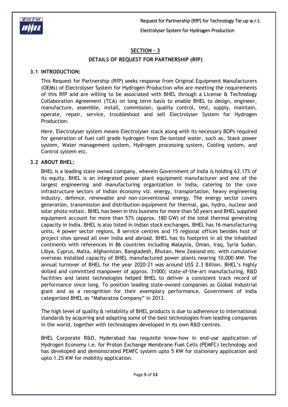

# **SECTION – 3**

#### **DETAILS OF REQUEST FOR PARTNERSHIP (RfP)**

#### **3.1 INTRODUCTION:**

This Request for Partnership (RfP) seeks response from Original Equipment Manufacturers (OEMs) of Electrolyser System for Hydrogen Production who are meeting the requirements of this RfP and are willing to be associated with BHEL through a License & Technology Collaboration Agreement (TCA) on long term basis to enable BHEL to design, engineer, manufacture, assemble, install, commission, quality control, test, supply, maintain, operate, repair, service, troubleshoot and sell Electrolyser System for Hydrogen Production.

Here, Electrolyser system means Electrolyser stack along with its necessary BOPs required for generation of fuel cell grade hydrogen from De-ionized water, such as, Stack power system, Water management system, Hydrogen processing system, Cooling system, and Control system etc.

#### **3.2 ABOUT BHEL:**

BHEL is a leading state owned company, wherein Government of India is holding 63.17% of its equity. BHEL is an integrated power plant equipment manufacturer and one of the largest engineering and manufacturing organization in India, catering to the core infrastructure sectors of Indian economy viz. energy, transportation, heavy engineering industry, defence, renewable and non-conventional energy. The energy sector covers generation, transmission and distribution equipment for thermal, gas, hydro, nuclear and solar photo voltaic. BHEL has been in this business for more than 50 years and BHEL supplied equipment account for more than 57% (approx. 180 GW) of the total thermal generating capacity in India. BHEL is also listed in Indian stock exchanges. BHEL has 16 manufacturing units, 4 power sector regions, 8 service centres and 15 regional offices besides host of project sites spread all over India and abroad. BHEL has its footprint in all the inhabited continents with references in 86 countries including Malaysia, Oman, Iraq, Syria Sudan, Libya, Cyprus, Malta, Afghanistan, Bangladesh, Bhutan, New Zealand etc. with cumulative overseas installed capacity of BHEL manufactured power plants nearing 10,000 MW. The annual turnover of BHEL for the year 2020-21 was around US\$ 2.3 Billion. BHEL's highly skilled and committed manpower of approx. 31000; state-of-the-art manufacturing, R&D facilities and latest technologies helped BHEL to deliver a consistent track record of performance since long. To position leading state-owned companies as Global Industrial giant and as a recognition for their exemplary performance, Government of India categorized BHEL as "Maharatna Company" in 2013.

The high level of quality & reliability of BHEL products is due to adherence to international standards by acquiring and adapting some of the best technologies from leading companies in the world, together with technologies developed in its own R&D centres.

BHEL Corporate R&D, Hyderabad has requisite know-how in end-use application of Hydrogen Economy i.e. for Proton Exchange Membrane Fuel Cells (PEMFC) technology and has developed and demonstrated PEMFC system upto 5 KW for stationary application and upto 1.25 KW for mobility application.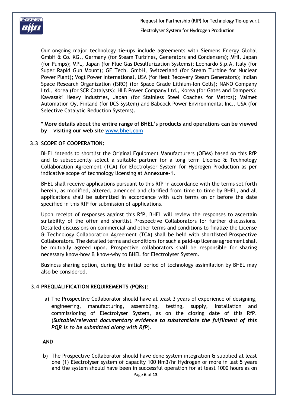

Ï बी एच डी एल  $\overline{\phantom{a}}$ 

> Our ongoing major technology tie-ups include agreements with Siemens Energy Global GmbH & Co. KG., Germany (for Steam Turbines, Generators and Condensers); MHI, Japan (for Pumps); MPL, Japan (for Flue Gas Desulfurization Systems); Leonardo S.p.A, Italy (for Super Rapid Gun Mount); GE Tech. GmbH, Switzerland (for Steam Turbine for Nuclear Power Plant); Vogt Power International, USA (for Heat Recovery Steam Generators); Indian Space Research Organization (ISRO) (for Space Grade Lithium-Ion Cells); NANO Company Ltd., Korea (for SCR Catalysts); HLB Power Company Ltd., Korea (for Gates and Dampers); Kawasaki Heavy Industries, Japan (for Stainless Steel Coaches for Metros); Valmet Automation Oy, Finland (for DCS System) and Babcock Power Environmental Inc., USA (for Selective Catalytic Reduction Systems).

> \* **More details about the entire range of BHEL's products and operations can be viewed by visiting our web site [www.bhel.com](http://www.bhel.com/)**

#### **3.3 SCOPE OF COOPERATION:**

BHEL intends to shortlist the Original Equipment Manufacturers (OEMs) based on this RfP and to subsequently select a suitable partner for a long term License  $\alpha$  Technology Collaboration Agreement (TCA) for Electrolyser System for Hydrogen Production as per indicative scope of technology licensing at **Annexure-1**.

BHEL shall receive applications pursuant to this RfP in accordance with the terms set forth herein, as modified, altered, amended and clarified from time to time by BHEL, and all applications shall be submitted in accordance with such terms on or before the date specified in this RfP for submission of applications.

Upon receipt of responses against this RfP, BHEL will review the responses to ascertain suitability of the offer and shortlist Prospective Collaborators for further discussions. Detailed discussions on commercial and other terms and conditions to finalize the License & Technology Collaboration Agreement (TCA) shall be held with shortlisted Prospective Collaborators. The detailed terms and conditions for such a paid-up license agreement shall be mutually agreed upon. Prospective collaborators shall be responsible for sharing necessary know-how & know-why to BHEL for Electrolyser System.

Business sharing option, during the initial period of technology assimilation by BHEL may also be considered.

### **3.4 PREQUALIFICATION REQUIREMENTS (PQRs):**

a) The Prospective Collaborator should have at least 3 years of experience of designing, engineering, manufacturing, assembling, testing, supply, installation and commissioning of Electrolyser System, as on the closing date of this RfP. (*Suitable/relevant documentary evidence to substantiate the fulfilment of this PQR is to be submitted along with RfP*).

**AND**

Page **6** of **13** b) The Prospective Collaborator should have done system integration & supplied at least one (1) Electrolyser system of capacity 100 Nm3/hr Hydrogen or more in last 5 years and the system should have been in successful operation for at least 1000 hours as on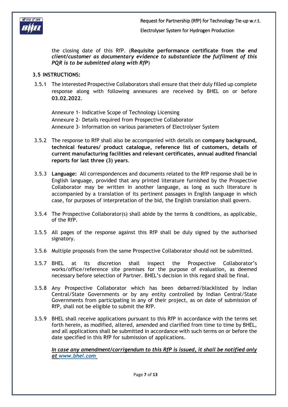

the closing date of this RfP. (**Requisite performance certificate from the** *end client/customer as documentary evidence to substantiate the fulfilment of this PQR is to be submitted along with RfP*)

## **3.5 INSTRUCTIONS:**

3.5.1 The interested Prospective Collaborators shall ensure that their duly filled up complete response along with following annexures are received by BHEL on or before **03.02.2022**.

Annexure 1- Indicative Scope of Technology Licensing Annexure 2- Details required from Prospective Collaborator Annexure 3- Information on various parameters of Electrolyser System

- 3.5.2 The response to RfP shall also be accompanied with details on **company background, technical features/ product catalogue, reference list of customers, details of current manufacturing facilities and relevant certificates, annual audited financial reports for last three (3) years**.
- 3.5.3 **Language:** All correspondences and documents related to the RfP response shall be in English language, provided that any printed literature furnished by the Prospective Collaborator may be written in another language, as long as such literature is accompanied by a translation of its pertinent passages in English language in which case, for purposes of interpretation of the bid, the English translation shall govern.
- 3.5.4 The Prospective Collaborator(s) shall abide by the terms & conditions, as applicable, of the RfP.
- 3.5.5 All pages of the response against this RfP shall be duly signed by the authorised signatory.
- 3.5.6 Multiple proposals from the same Prospective Collaborator should not be submitted.
- 3.5.7 BHEL at its discretion shall inspect the Prospective Collaborator's works/office/reference site premises for the purpose of evaluation, as deemed necessary before selection of Partner. BHEL's decision in this regard shall be final.
- 3.5.8 Any Prospective Collaborator which has been debarred/blacklisted by Indian Central/State Governments or by any entity controlled by Indian Central/State Governments from participating in any of their project, as on date of submission of RfP, shall not be eligible to submit the RfP.
- 3.5.9 BHEL shall receive applications pursuant to this RfP in accordance with the terms set forth herein, as modified, altered, amended and clarified from time to time by BHEL, and all applications shall be submitted in accordance with such terms on or before the date specified in this RfP for submission of applications.

*In case any amendment/corrigendum to this RfP is issued, it shall be notified only at [www.bhel.com](http://www.bhel.com/)*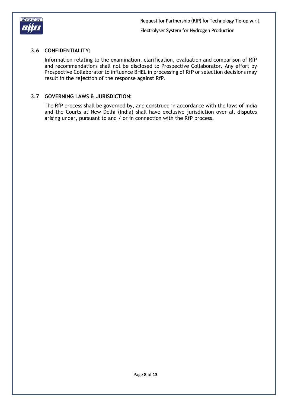

# **3.6 CONFIDENTIALITY:**

Information relating to the examination, clarification, evaluation and comparison of RfP and recommendations shall not be disclosed to Prospective Collaborator. Any effort by Prospective Collaborator to influence BHEL in processing of RfP or selection decisions may result in the rejection of the response against RfP.

### **3.7 GOVERNING LAWS & JURISDICTION:**

The RfP process shall be governed by, and construed in accordance with the laws of India and the Courts at New Delhi (India) shall have exclusive jurisdiction over all disputes arising under, pursuant to and / or in connection with the RfP process.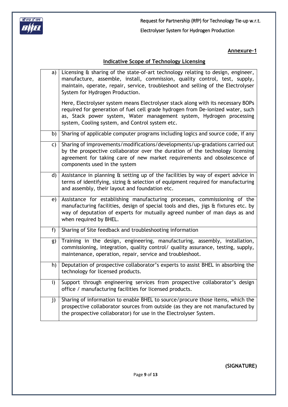

#### **Annexure-1**

# **Indicative Scope of Technology Licensing**

| a) | Licensing & sharing of the state-of-art technology relating to design, engineer,<br>manufacture, assemble, install, commission, quality control, test, supply,<br>maintain, operate, repair, service, troubleshoot and selling of the Electrolyser<br>System for Hydrogen Production.          |
|----|------------------------------------------------------------------------------------------------------------------------------------------------------------------------------------------------------------------------------------------------------------------------------------------------|
|    | Here, Electrolyser system means Electrolyser stack along with its necessary BOPs<br>required for generation of fuel cell grade hydrogen from De-ionized water, such<br>as, Stack power system, Water management system, Hydrogen processing<br>system, Cooling system, and Control system etc. |
| b) | Sharing of applicable computer programs including logics and source code, if any                                                                                                                                                                                                               |
| C) | Sharing of improvements/modifications/developments/up-gradations carried out<br>by the prospective collaborator over the duration of the technology licensing<br>agreement for taking care of new market requirements and obsolescence of<br>components used in the system                     |
| d) | Assistance in planning & setting up of the facilities by way of expert advice in<br>terms of identifying, sizing & selection of equipment required for manufacturing<br>and assembly, their layout and foundation etc.                                                                         |
| e) | Assistance for establishing manufacturing processes, commissioning of the<br>manufacturing facilities, design of special tools and dies, jigs & fixtures etc. by<br>way of deputation of experts for mutually agreed number of man days as and<br>when required by BHEL.                       |
| f) | Sharing of Site feedback and troubleshooting information                                                                                                                                                                                                                                       |
| g) | Training in the design, engineering, manufacturing, assembly, installation,<br>commissioning, integration, quality control/ quality assurance, testing, supply,<br>maintenance, operation, repair, service and troubleshoot.                                                                   |
| h) | Deputation of prospective collaborator's experts to assist BHEL in absorbing the<br>technology for licensed products.                                                                                                                                                                          |
| i) | Support through engineering services from prospective collaborator's design<br>office / manufacturing facilities for licensed products.                                                                                                                                                        |
| j) | Sharing of information to enable BHEL to source/procure those items, which the<br>prospective collaborator sources from outside (as they are not manufactured by<br>the prospective collaborator) for use in the Electrolyser System.                                                          |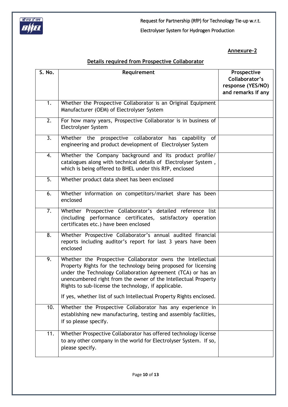

Request for Partnership (RfP) for Technology Tie-up w.r.t.

# Electrolyser System for Hydrogen Production

## **Annexure-2**

# **Details required from Prospective Collaborator**

| S. No.           | Requirement                                                                                                                                                                                                                                                                                                             | Prospective<br>Collaborator's<br>response (YES/NO)<br>and remarks if any |
|------------------|-------------------------------------------------------------------------------------------------------------------------------------------------------------------------------------------------------------------------------------------------------------------------------------------------------------------------|--------------------------------------------------------------------------|
| 1.               | Whether the Prospective Collaborator is an Original Equipment<br>Manufacturer (OEM) of Electrolyser System                                                                                                                                                                                                              |                                                                          |
| $\overline{2.}$  | For how many years, Prospective Collaborator is in business of<br>Electrolyser System                                                                                                                                                                                                                                   |                                                                          |
| $\overline{3}$ . | Whether the prospective collaborator<br>has<br>capability of<br>engineering and product development of Electrolyser System                                                                                                                                                                                              |                                                                          |
| 4.               | Whether the Company background and its product profile/<br>catalogues along with technical details of Electrolyser System,<br>which is being offered to BHEL under this RfP, enclosed                                                                                                                                   |                                                                          |
| 5.               | Whether product data sheet has been enclosed                                                                                                                                                                                                                                                                            |                                                                          |
| 6.               | Whether information on competitors/market share has been<br>enclosed                                                                                                                                                                                                                                                    |                                                                          |
| 7.               | Whether Prospective Collaborator's detailed reference list<br>(including performance certificates, satisfactory operation<br>certificates etc.) have been enclosed                                                                                                                                                      |                                                                          |
| $\overline{8}$ . | Whether Prospective Collaborator's annual audited financial<br>reports including auditor's report for last 3 years have been<br>enclosed                                                                                                                                                                                |                                                                          |
| 9.               | Whether the Prospective Collaborator owns the Intellectual<br>Property Rights for the technology being proposed for licensing<br>under the Technology Collaboration Agreement (TCA) or has an<br>unencumbered right from the owner of the Intellectual Property<br>Rights to sub-license the technology, if applicable. |                                                                          |
|                  | If yes, whether list of such Intellectual Property Rights enclosed.                                                                                                                                                                                                                                                     |                                                                          |
| 10.              | Whether the Prospective Collaborator has any experience in<br>establishing new manufacturing, testing and assembly facilities,<br>if so please specify.                                                                                                                                                                 |                                                                          |
| 11.              | Whether Prospective Collaborator has offered technology license<br>to any other company in the world for Electrolyser System. If so,<br>please specify.                                                                                                                                                                 |                                                                          |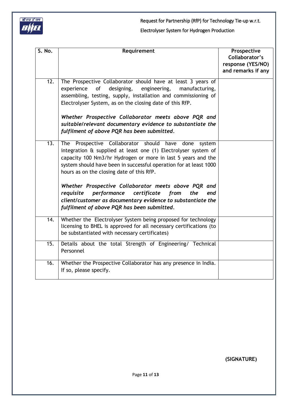

| S. No.            | Requirement                                                                                                                                                                                                                                                                                                 | Prospective<br>Collaborator's<br>response (YES/NO)<br>and remarks if any |
|-------------------|-------------------------------------------------------------------------------------------------------------------------------------------------------------------------------------------------------------------------------------------------------------------------------------------------------------|--------------------------------------------------------------------------|
| 12.               | The Prospective Collaborator should have at least 3 years of<br><sub>of</sub><br>experience<br>designing,<br>engineering,<br>manufacturing,<br>assembling, testing, supply, installation and commissioning of<br>Electrolyser System, as on the closing date of this RfP.                                   |                                                                          |
|                   | Whether Prospective Collaborator meets above PQR and<br>suitable/relevant documentary evidence to substantiate the<br>fulfilment of above PQR has been submitted.                                                                                                                                           |                                                                          |
| 13.               | The Prospective Collaborator should have done<br>system<br>integration & supplied at least one (1) Electrolyser system of<br>capacity 100 Nm3/hr Hydrogen or more in last 5 years and the<br>system should have been in successful operation for at least 1000<br>hours as on the closing date of this RfP. |                                                                          |
|                   | Whether Prospective Collaborator meets above PQR and<br>certificate<br>the<br>requisite<br>performance<br>from<br>end<br>client/customer as documentary evidence to substantiate the<br>fulfilment of above PQR has been submitted.                                                                         |                                                                          |
| $\overline{14}$ . | Whether the Electrolyser System being proposed for technology<br>licensing to BHEL is approved for all necessary certifications (to<br>be substantiated with necessary certificates)                                                                                                                        |                                                                          |
| 15.               | Details about the total Strength of Engineering/ Technical<br>Personnel                                                                                                                                                                                                                                     |                                                                          |
| 16.               | Whether the Prospective Collaborator has any presence in India.<br>If so, please specify.                                                                                                                                                                                                                   |                                                                          |

**(SIGNATURE)**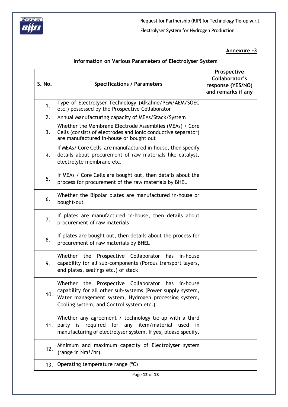

**Annexure -3**

# **Information on Various Parameters of Electrolyser System**

| S. No. | <b>Specifications / Parameters</b>                                                                                                                                                                                     | Prospective<br>Collaborator's<br>response (YES/NO)<br>and remarks if any |
|--------|------------------------------------------------------------------------------------------------------------------------------------------------------------------------------------------------------------------------|--------------------------------------------------------------------------|
| 1.     | Type of Electrolyser Technology (Alkaline/PEM/AEM/SOEC<br>etc.) possessed by the Prospective Collaborator                                                                                                              |                                                                          |
| 2.     | Annual Manufacturing capacity of MEAs/Stack/System                                                                                                                                                                     |                                                                          |
| 3.     | Whether the Membrane Electrode Assemblies (MEAs) / Core<br>Cells (consists of electrodes and ionic conductive separator)<br>are manufactured in-house or bought out                                                    |                                                                          |
| 4.     | If MEAs/ Core Cells are manufactured in-house, then specify<br>details about procurement of raw materials like catalyst,<br>electrolyte membrane etc.                                                                  |                                                                          |
| 5.     | If MEAs / Core Cells are bought out, then details about the<br>process for procurement of the raw materials by BHEL                                                                                                    |                                                                          |
| 6.     | Whether the Bipolar plates are manufactured in-house or<br>bought-out                                                                                                                                                  |                                                                          |
| 7.     | If plates are manufactured in-house, then details about<br>procurement of raw materials                                                                                                                                |                                                                          |
| 8.     | If plates are bought out, then details about the process for<br>procurement of raw materials by BHEL                                                                                                                   |                                                                          |
| 9.     | Whether the Prospective Collaborator has<br>in-house<br>capability for all sub-components (Porous transport layers,<br>end plates, sealings etc.) of stack                                                             |                                                                          |
| 10.    | Whether the<br>Prospective Collaborator has in-house<br>capability for all other sub-systems (Power supply system,<br>Water management system, Hydrogen processing system,<br>Cooling system, and Control system etc.) |                                                                          |
| 11.    | Whether any agreement / technology tie-up with a third<br>party is required for any item/material used in<br>manufacturing of electrolyser system. If yes, please specify.                                             |                                                                          |
| 12.    | Minimum and maximum capacity of Electrolyser system<br>(range in Nm <sup>3</sup> /hr)                                                                                                                                  |                                                                          |
| 13.    | Operating temperature range (°C)                                                                                                                                                                                       |                                                                          |
|        |                                                                                                                                                                                                                        |                                                                          |